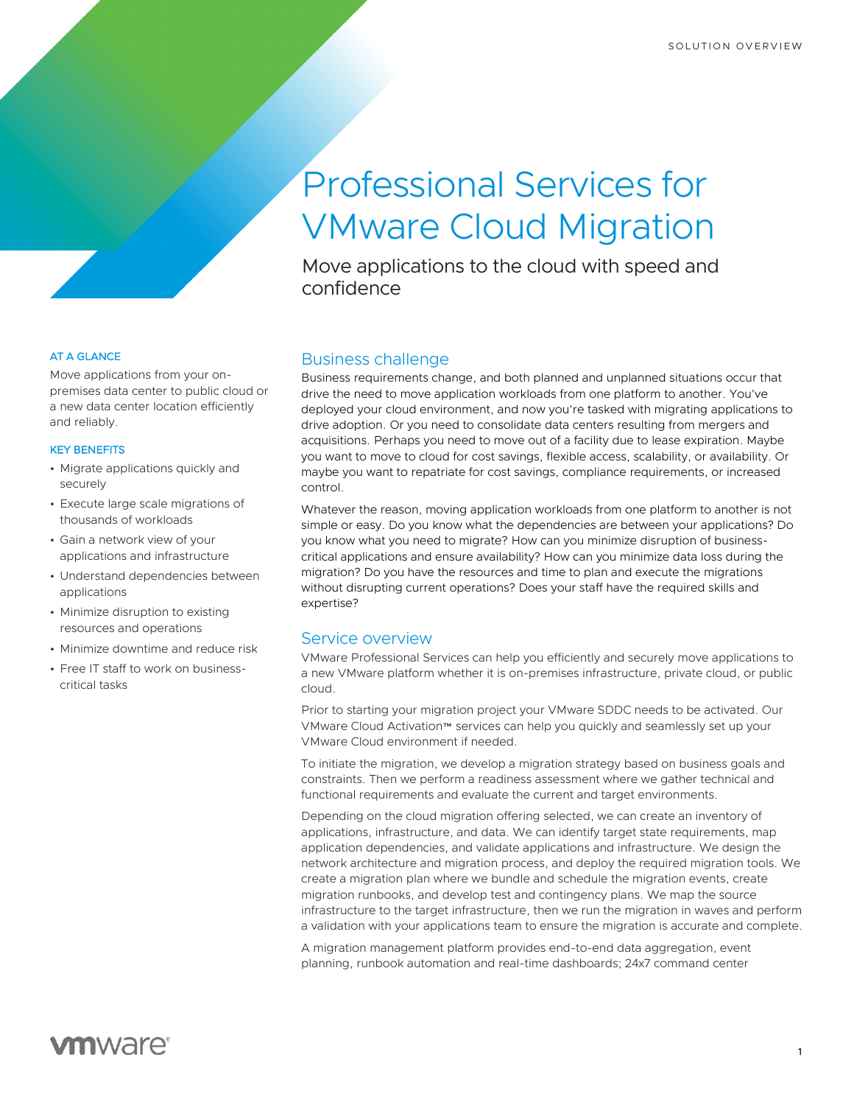# Professional Services for VMware Cloud Migration

Move applications to the cloud with speed and confidence

#### AT A GLANCE

Move applications from your onpremises data center to public cloud or a new data center location efficiently and reliably.

#### KEY BENEFITS

- Migrate applications quickly and securely
- Execute large scale migrations of thousands of workloads
- Gain a network view of your applications and infrastructure
- Understand dependencies between applications
- Minimize disruption to existing resources and operations
- Minimize downtime and reduce risk
- Free IT staff to work on businesscritical tasks

# Business challenge

Business requirements change, and both planned and unplanned situations occur that drive the need to move application workloads from one platform to another. You've deployed your cloud environment, and now you're tasked with migrating applications to drive adoption. Or you need to consolidate data centers resulting from mergers and acquisitions. Perhaps you need to move out of a facility due to lease expiration. Maybe you want to move to cloud for cost savings, flexible access, scalability, or availability. Or maybe you want to repatriate for cost savings, compliance requirements, or increased control.

Whatever the reason, moving application workloads from one platform to another is not simple or easy. Do you know what the dependencies are between your applications? Do you know what you need to migrate? How can you minimize disruption of businesscritical applications and ensure availability? How can you minimize data loss during the migration? Do you have the resources and time to plan and execute the migrations without disrupting current operations? Does your staff have the required skills and expertise?

### Service overview

VMware Professional Services can help you efficiently and securely move applications to a new VMware platform whether it is on-premises infrastructure, private cloud, or public cloud.

Prior to starting your migration project your VMware SDDC needs to be activated. Our VMware Cloud Activation™ services can help you quickly and seamlessly set up your VMware Cloud environment if needed.

To initiate the migration, we develop a migration strategy based on business goals and constraints. Then we perform a readiness assessment where we gather technical and functional requirements and evaluate the current and target environments.

Depending on the cloud migration offering selected, we can create an inventory of applications, infrastructure, and data. We can identify target state requirements, map application dependencies, and validate applications and infrastructure. We design the network architecture and migration process, and deploy the required migration tools. We create a migration plan where we bundle and schedule the migration events, create migration runbooks, and develop test and contingency plans. We map the source infrastructure to the target infrastructure, then we run the migration in waves and perform a validation with your applications team to ensure the migration is accurate and complete.

A migration management platform provides end-to-end data aggregation, event planning, runbook automation and real-time dashboards; 24x7 command center

# **vm**ware<sup>®</sup>